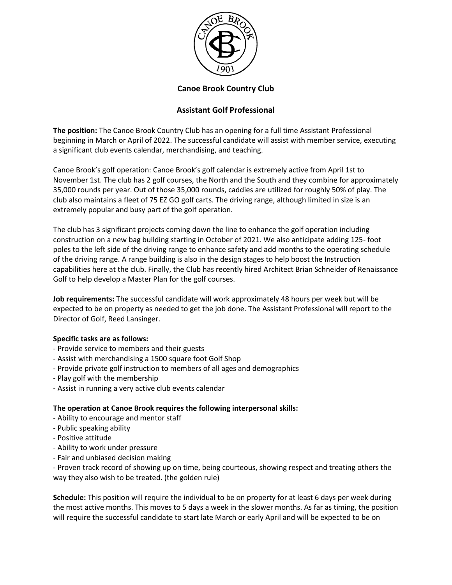

## **Canoe Brook Country Club**

# **Assistant Golf Professional**

**The position:** The Canoe Brook Country Club has an opening for a full time Assistant Professional beginning in March or April of 2022. The successful candidate will assist with member service, executing a significant club events calendar, merchandising, and teaching.

Canoe Brook's golf operation: Canoe Brook's golf calendar is extremely active from April 1st to November 1st. The club has 2 golf courses, the North and the South and they combine for approximately 35,000 rounds per year. Out of those 35,000 rounds, caddies are utilized for roughly 50% of play. The club also maintains a fleet of 75 EZ GO golf carts. The driving range, although limited in size is an extremely popular and busy part of the golf operation.

The club has 3 significant projects coming down the line to enhance the golf operation including construction on a new bag building starting in October of 2021. We also anticipate adding 125- foot poles to the left side of the driving range to enhance safety and add months to the operating schedule of the driving range. A range building is also in the design stages to help boost the Instruction capabilities here at the club. Finally, the Club has recently hired Architect Brian Schneider of Renaissance Golf to help develop a Master Plan for the golf courses.

**Job requirements:** The successful candidate will work approximately 48 hours per week but will be expected to be on property as needed to get the job done. The Assistant Professional will report to the Director of Golf, Reed Lansinger.

### **Specific tasks are as follows:**

- Provide service to members and their guests
- Assist with merchandising a 1500 square foot Golf Shop
- Provide private golf instruction to members of all ages and demographics
- Play golf with the membership
- Assist in running a very active club events calendar

### **The operation at Canoe Brook requires the following interpersonal skills:**

- Ability to encourage and mentor staff
- Public speaking ability
- Positive attitude
- Ability to work under pressure
- Fair and unbiased decision making

- Proven track record of showing up on time, being courteous, showing respect and treating others the way they also wish to be treated. (the golden rule)

**Schedule:** This position will require the individual to be on property for at least 6 days per week during the most active months. This moves to 5 days a week in the slower months. As far as timing, the position will require the successful candidate to start late March or early April and will be expected to be on